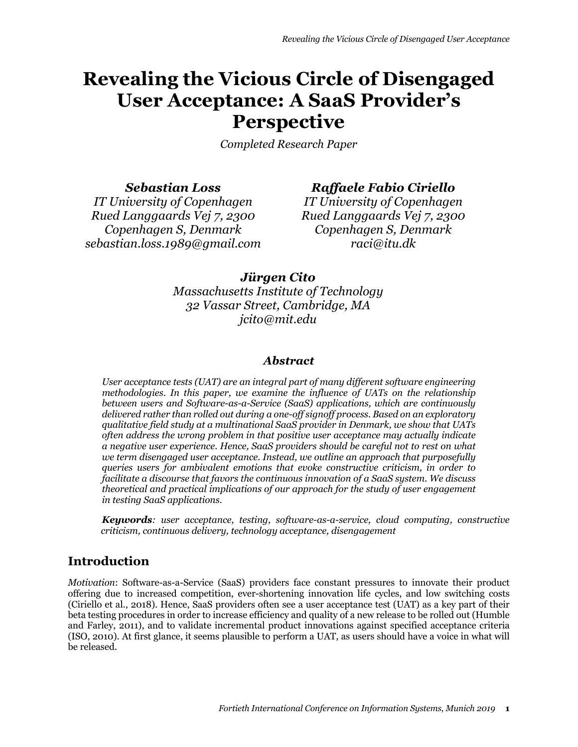# **Revealing the Vicious Circle of Disengaged User Acceptance: A SaaS Provider's Perspective**

*Completed Research Paper*

*Sebastian Loss*

# *Raffaele Fabio Ciriello*

*IT University of Copenhagen Rued Langgaards Vej 7, 2300 Copenhagen S, Denmark sebastian.loss.1989@gmail.com* 

*IT University of Copenhagen Rued Langgaards Vej 7, 2300 Copenhagen S, Denmark raci@itu.dk* 

# *Jürgen Cito*

*Massachusetts Institute of Technology 32 Vassar Street, Cambridge, MA jcito@mit.edu*

### *Abstract*

*User acceptance tests (UAT) are an integral part of many different software engineering methodologies. In this paper, we examine the influence of UATs on the relationship between users and Software-as-a-Service (SaaS) applications, which are continuously delivered rather than rolled out during a one-off signoff process. Based on an exploratory qualitative field study at a multinational SaaS provider in Denmark, we show that UATs often address the wrong problem in that positive user acceptance may actually indicate a negative user experience. Hence, SaaS providers should be careful not to rest on what we term disengaged user acceptance. Instead, we outline an approach that purposefully queries users for ambivalent emotions that evoke constructive criticism, in order to facilitate a discourse that favors the continuous innovation of a SaaS system. We discuss theoretical and practical implications of our approach for the study of user engagement in testing SaaS applications.* 

*Keywords: user acceptance, testing, software-as-a-service, cloud computing, constructive criticism, continuous delivery, technology acceptance, disengagement*

# **Introduction**

*Motivation*: Software-as-a-Service (SaaS) providers face constant pressures to innovate their product offering due to increased competition, ever-shortening innovation life cycles, and low switching costs (Ciriello et al., 2018). Hence, SaaS providers often see a user acceptance test (UAT) as a key part of their beta testing procedures in order to increase efficiency and quality of a new release to be rolled out (Humble and Farley, 2011), and to validate incremental product innovations against specified acceptance criteria (ISO, 2010). At first glance, it seems plausible to perform a UAT, as users should have a voice in what will be released.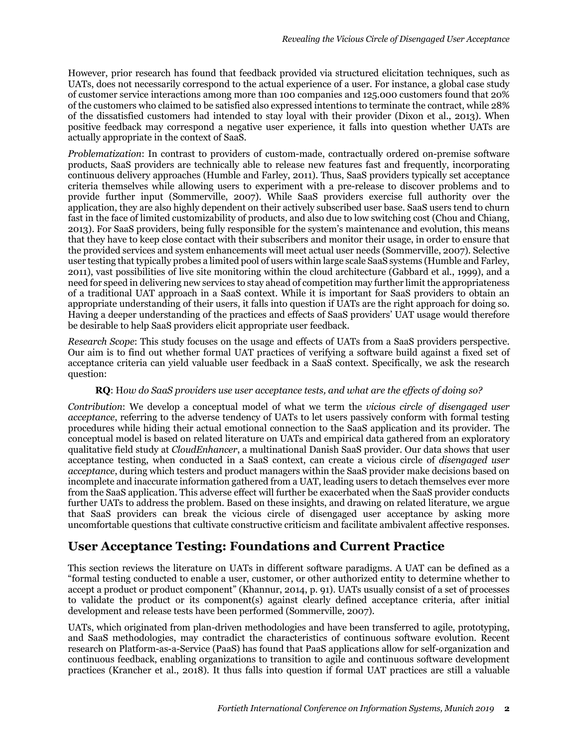However, prior research has found that feedback provided via structured elicitation techniques, such as UATs, does not necessarily correspond to the actual experience of a user. For instance, a global case study of customer service interactions among more than 100 companies and 125.000 customers found that 20% of the customers who claimed to be satisfied also expressed intentions to terminate the contract, while 28% of the dissatisfied customers had intended to stay loyal with their provider (Dixon et al., 2013). When positive feedback may correspond a negative user experience, it falls into question whether UATs are actually appropriate in the context of SaaS.

*Problematization*: In contrast to providers of custom-made, contractually ordered on-premise software products, SaaS providers are technically able to release new features fast and frequently, incorporating continuous delivery approaches (Humble and Farley, 2011). Thus, SaaS providers typically set acceptance criteria themselves while allowing users to experiment with a pre-release to discover problems and to provide further input (Sommerville, 2007). While SaaS providers exercise full authority over the application, they are also highly dependent on their actively subscribed user base. SaaS users tend to churn fast in the face of limited customizability of products, and also due to low switching cost (Chou and Chiang, 2013). For SaaS providers, being fully responsible for the system's maintenance and evolution, this means that they have to keep close contact with their subscribers and monitor their usage, in order to ensure that the provided services and system enhancements will meet actual user needs (Sommerville, 2007). Selective user testing that typically probes a limited pool of users within large scale SaaS systems (Humble and Farley, 2011), vast possibilities of live site monitoring within the cloud architecture (Gabbard et al., 1999), and a need for speed in delivering new services to stay ahead of competition may further limit the appropriateness of a traditional UAT approach in a SaaS context. While it is important for SaaS providers to obtain an appropriate understanding of their users, it falls into question if UATs are the right approach for doing so. Having a deeper understanding of the practices and effects of SaaS providers' UAT usage would therefore be desirable to help SaaS providers elicit appropriate user feedback.

*Research Scope*: This study focuses on the usage and effects of UATs from a SaaS providers perspective. Our aim is to find out whether formal UAT practices of verifying a software build against a fixed set of acceptance criteria can yield valuable user feedback in a SaaS context. Specifically, we ask the research question:

#### **RQ**: H*ow do SaaS providers use user acceptance tests, and what are the effects of doing so?*

*Contribution*: We develop a conceptual model of what we term the *vicious circle of disengaged user acceptance*, referring to the adverse tendency of UATs to let users passively conform with formal testing procedures while hiding their actual emotional connection to the SaaS application and its provider. The conceptual model is based on related literature on UATs and empirical data gathered from an exploratory qualitative field study at *CloudEnhancer*, a multinational Danish SaaS provider. Our data shows that user acceptance testing, when conducted in a SaaS context, can create a vicious circle of *disengaged user acceptance*, during which testers and product managers within the SaaS provider make decisions based on incomplete and inaccurate information gathered from a UAT, leading users to detach themselves ever more from the SaaS application. This adverse effect will further be exacerbated when the SaaS provider conducts further UATs to address the problem. Based on these insights, and drawing on related literature, we argue that SaaS providers can break the vicious circle of disengaged user acceptance by asking more uncomfortable questions that cultivate constructive criticism and facilitate ambivalent affective responses.

# **User Acceptance Testing: Foundations and Current Practice**

This section reviews the literature on UATs in different software paradigms. A UAT can be defined as a "formal testing conducted to enable a user, customer, or other authorized entity to determine whether to accept a product or product component" (Khannur, 2014, p. 91). UATs usually consist of a set of processes to validate the product or its component(s) against clearly defined acceptance criteria, after initial development and release tests have been performed (Sommerville, 2007).

UATs, which originated from plan-driven methodologies and have been transferred to agile, prototyping, and SaaS methodologies, may contradict the characteristics of continuous software evolution. Recent research on Platform-as-a-Service (PaaS) has found that PaaS applications allow for self-organization and continuous feedback, enabling organizations to transition to agile and continuous software development practices (Krancher et al., 2018). It thus falls into question if formal UAT practices are still a valuable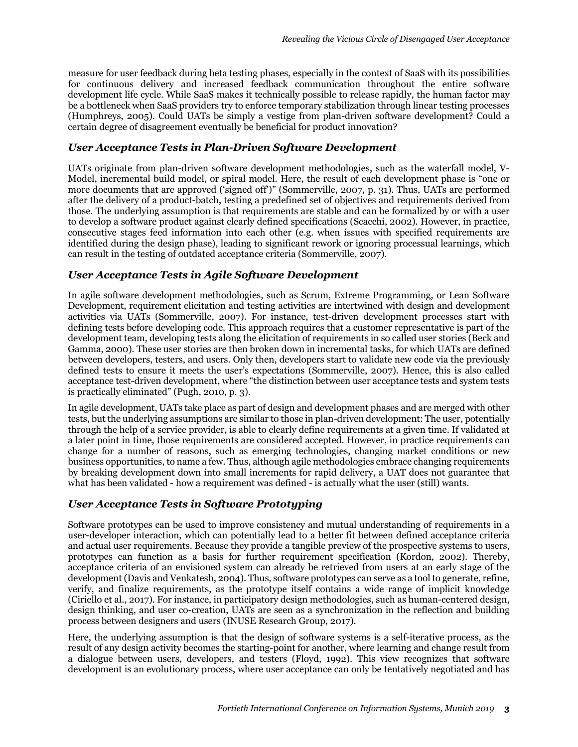measure for user feedback during beta testing phases, especially in the context of SaaS with its possibilities for continuous delivery and increased feedback communication throughout the entire software development life cycle. While SaaS makes it technically possible to release rapidly, the human factor may be a bottleneck when SaaS providers try to enforce temporary stabilization through linear testing processes (Humphreys, 2005). Could UATs be simply a vestige from plan-driven software development? Could a certain degree of disagreement eventually be beneficial for product innovation?

#### *User Acceptance Tests in Plan-Driven Software Development*

UATs originate from plan-driven software development methodologies, such as the waterfall model, V-Model, incremental build model, or spiral model. Here, the result of each development phase is "one or more documents that are approved ('signed off')" (Sommerville, 2007, p. 31). Thus, UATs are performed after the delivery of a product-batch, testing a predefined set of objectives and requirements derived from those. The underlying assumption is that requirements are stable and can be formalized by or with a user to develop a software product against clearly defined specifications (Scacchi, 2002). However, in practice, consecutive stages feed information into each other (e.g. when issues with specified requirements are identified during the design phase), leading to significant rework or ignoring processual learnings, which can result in the testing of outdated acceptance criteria (Sommerville, 2007).

### *User Acceptance Tests in Agile Software Development*

In agile software development methodologies, such as Scrum, Extreme Programming, or Lean Software Development, requirement elicitation and testing activities are intertwined with design and development activities via UATs (Sommerville, 2007). For instance, test-driven development processes start with defining tests before developing code. This approach requires that a customer representative is part of the development team, developing tests along the elicitation of requirements in so called user stories (Beck and Gamma, 2000). These user stories are then broken down in incremental tasks, for which UATs are defined between developers, testers, and users. Only then, developers start to validate new code via the previously defined tests to ensure it meets the user's expectations (Sommerville, 2007). Hence, this is also called acceptance test-driven development, where "the distinction between user acceptance tests and system tests is practically eliminated" (Pugh, 2010, p. 3).

In agile development, UATs take place as part of design and development phases and are merged with other tests, but the underlying assumptions are similar to those in plan-driven development: The user, potentially through the help of a service provider, is able to clearly define requirements at a given time. If validated at a later point in time, those requirements are considered accepted. However, in practice requirements can change for a number of reasons, such as emerging technologies, changing market conditions or new business opportunities, to name a few. Thus, although agile methodologies embrace changing requirements by breaking development down into small increments for rapid delivery, a UAT does not guarantee that what has been validated - how a requirement was defined - is actually what the user (still) wants.

#### *User Acceptance Tests in Software Prototyping*

Software prototypes can be used to improve consistency and mutual understanding of requirements in a user-developer interaction, which can potentially lead to a better fit between defined acceptance criteria and actual user requirements. Because they provide a tangible preview of the prospective systems to users, prototypes can function as a basis for further requirement specification (Kordon, 2002). Thereby, acceptance criteria of an envisioned system can already be retrieved from users at an early stage of the development (Davis and Venkatesh, 2004). Thus, software prototypes can serve as a tool to generate, refine, verify, and finalize requirements, as the prototype itself contains a wide range of implicit knowledge (Ciriello et al., 2017). For instance, in participatory design methodologies, such as human-centered design, design thinking, and user co-creation, UATs are seen as a synchronization in the reflection and building process between designers and users (INUSE Research Group, 2017).

Here, the underlying assumption is that the design of software systems is a self-iterative process, as the result of any design activity becomes the starting-point for another, where learning and change result from a dialogue between users, developers, and testers (Floyd, 1992). This view recognizes that software development is an evolutionary process, where user acceptance can only be tentatively negotiated and has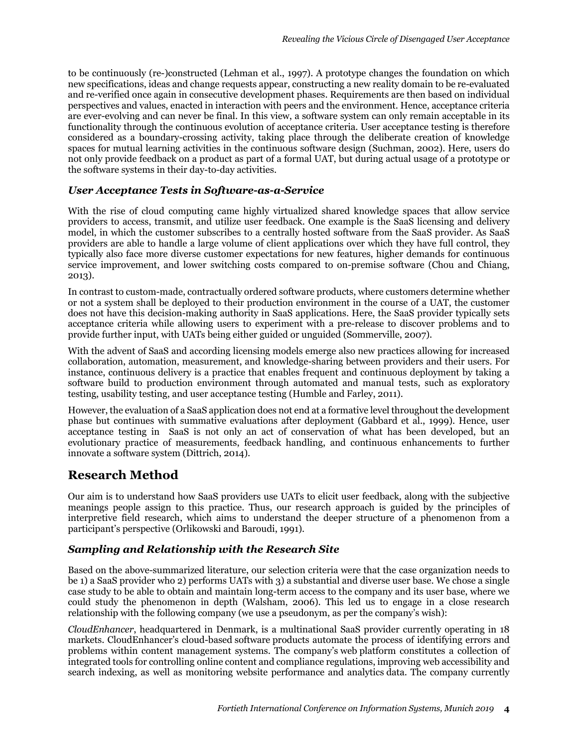to be continuously (re-)constructed (Lehman et al., 1997). A prototype changes the foundation on which new specifications, ideas and change requests appear, constructing a new reality domain to be re-evaluated and re-verified once again in consecutive development phases. Requirements are then based on individual perspectives and values, enacted in interaction with peers and the environment. Hence, acceptance criteria are ever-evolving and can never be final. In this view, a software system can only remain acceptable in its functionality through the continuous evolution of acceptance criteria. User acceptance testing is therefore considered as a boundary-crossing activity, taking place through the deliberate creation of knowledge spaces for mutual learning activities in the continuous software design (Suchman, 2002). Here, users do not only provide feedback on a product as part of a formal UAT, but during actual usage of a prototype or the software systems in their day-to-day activities.

### *User Acceptance Tests in Software-as-a-Service*

With the rise of cloud computing came highly virtualized shared knowledge spaces that allow service providers to access, transmit, and utilize user feedback. One example is the SaaS licensing and delivery model, in which the customer subscribes to a centrally hosted software from the SaaS provider. As SaaS providers are able to handle a large volume of client applications over which they have full control, they typically also face more diverse customer expectations for new features, higher demands for continuous service improvement, and lower switching costs compared to on-premise software (Chou and Chiang, 2013).

In contrast to custom-made, contractually ordered software products, where customers determine whether or not a system shall be deployed to their production environment in the course of a UAT, the customer does not have this decision-making authority in SaaS applications. Here, the SaaS provider typically sets acceptance criteria while allowing users to experiment with a pre-release to discover problems and to provide further input, with UATs being either guided or unguided (Sommerville, 2007).

With the advent of SaaS and according licensing models emerge also new practices allowing for increased collaboration, automation, measurement, and knowledge-sharing between providers and their users. For instance, continuous delivery is a practice that enables frequent and continuous deployment by taking a software build to production environment through automated and manual tests, such as exploratory testing, usability testing, and user acceptance testing (Humble and Farley, 2011).

However, the evaluation of a SaaS application does not end at a formative level throughout the development phase but continues with summative evaluations after deployment (Gabbard et al., 1999). Hence, user acceptance testing in SaaS is not only an act of conservation of what has been developed, but an evolutionary practice of measurements, feedback handling, and continuous enhancements to further innovate a software system (Dittrich, 2014).

# **Research Method**

Our aim is to understand how SaaS providers use UATs to elicit user feedback, along with the subjective meanings people assign to this practice. Thus, our research approach is guided by the principles of interpretive field research, which aims to understand the deeper structure of a phenomenon from a participant's perspective (Orlikowski and Baroudi, 1991).

### *Sampling and Relationship with the Research Site*

Based on the above-summarized literature, our selection criteria were that the case organization needs to be 1) a SaaS provider who 2) performs UATs with 3) a substantial and diverse user base. We chose a single case study to be able to obtain and maintain long-term access to the company and its user base, where we could study the phenomenon in depth (Walsham, 2006). This led us to engage in a close research relationship with the following company (we use a pseudonym, as per the company's wish):

*CloudEnhancer*, headquartered in Denmark, is a multinational SaaS provider currently operating in 18 markets. CloudEnhancer's cloud-based software products automate the process of identifying errors and problems within content management systems. The company's web platform constitutes a collection of integrated tools for controlling online content and compliance regulations, improving web accessibility and search indexing, as well as monitoring website performance and analytics data. The company currently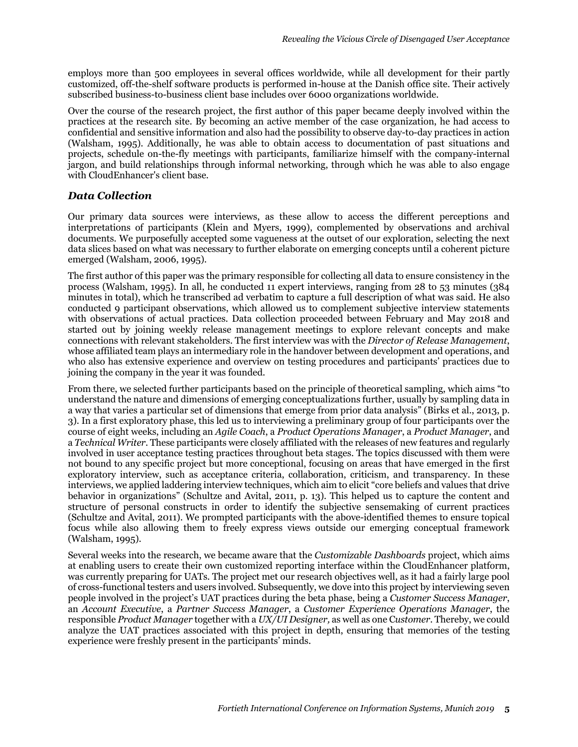employs more than 500 employees in several offices worldwide, while all development for their partly customized, off-the-shelf software products is performed in-house at the Danish office site. Their actively subscribed business-to-business client base includes over 6000 organizations worldwide.

Over the course of the research project, the first author of this paper became deeply involved within the practices at the research site. By becoming an active member of the case organization, he had access to confidential and sensitive information and also had the possibility to observe day-to-day practices in action (Walsham, 1995). Additionally, he was able to obtain access to documentation of past situations and projects, schedule on-the-fly meetings with participants, familiarize himself with the company-internal jargon, and build relationships through informal networking, through which he was able to also engage with CloudEnhancer's client base.

#### *Data Collection*

Our primary data sources were interviews, as these allow to access the different perceptions and interpretations of participants (Klein and Myers, 1999), complemented by observations and archival documents. We purposefully accepted some vagueness at the outset of our exploration, selecting the next data slices based on what was necessary to further elaborate on emerging concepts until a coherent picture emerged (Walsham, 2006, 1995).

The first author of this paper was the primary responsible for collecting all data to ensure consistency in the process (Walsham, 1995). In all, he conducted 11 expert interviews, ranging from 28 to 53 minutes (384 minutes in total), which he transcribed ad verbatim to capture a full description of what was said. He also conducted 9 participant observations, which allowed us to complement subjective interview statements with observations of actual practices. Data collection proceeded between February and May 2018 and started out by joining weekly release management meetings to explore relevant concepts and make connections with relevant stakeholders. The first interview was with the *Director of Release Management*, whose affiliated team plays an intermediary role in the handover between development and operations, and who also has extensive experience and overview on testing procedures and participants' practices due to joining the company in the year it was founded.

From there, we selected further participants based on the principle of theoretical sampling, which aims "to understand the nature and dimensions of emerging conceptualizations further, usually by sampling data in a way that varies a particular set of dimensions that emerge from prior data analysis" (Birks et al., 2013, p. 3). In a first exploratory phase, this led us to interviewing a preliminary group of four participants over the course of eight weeks, including an *Agile Coach*, a *Product Operations Manager*, a *Product Manager*, and a *Technical Writer*. These participants were closely affiliated with the releases of new features and regularly involved in user acceptance testing practices throughout beta stages. The topics discussed with them were not bound to any specific project but more conceptional, focusing on areas that have emerged in the first exploratory interview, such as acceptance criteria, collaboration, criticism, and transparency. In these interviews, we applied laddering interview techniques, which aim to elicit "core beliefs and values that drive behavior in organizations" (Schultze and Avital, 2011, p. 13). This helped us to capture the content and structure of personal constructs in order to identify the subjective sensemaking of current practices (Schultze and Avital, 2011). We prompted participants with the above-identified themes to ensure topical focus while also allowing them to freely express views outside our emerging conceptual framework (Walsham, 1995).

Several weeks into the research, we became aware that the *Customizable Dashboards* project, which aims at enabling users to create their own customized reporting interface within the CloudEnhancer platform, was currently preparing for UATs. The project met our research objectives well, as it had a fairly large pool of cross-functional testers and users involved. Subsequently, we dove into this project by interviewing seven people involved in the project's UAT practices during the beta phase, being a *Customer Success Manager*, an *Account Executive*, a *Partner Success Manager*, a *Customer Experience Operations Manager*, the responsible *Product Manager* together with a *UX/UI Designer,* as well as one C*ustomer*. Thereby, we could analyze the UAT practices associated with this project in depth, ensuring that memories of the testing experience were freshly present in the participants' minds.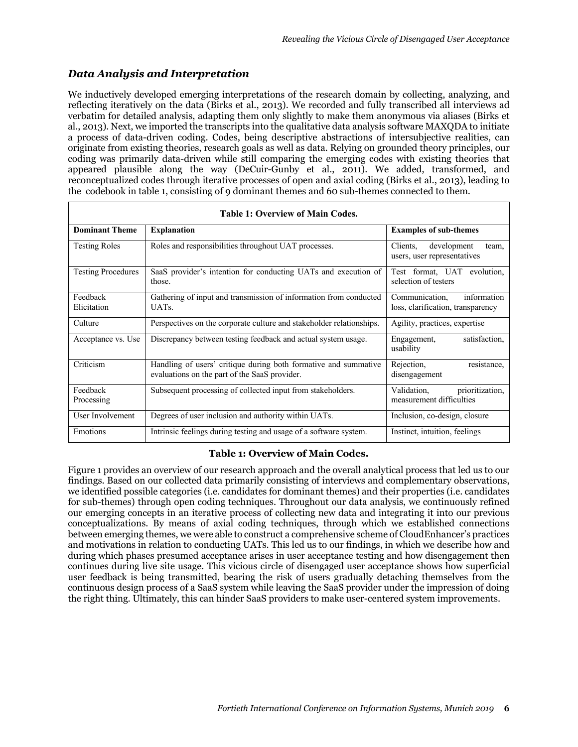### *Data Analysis and Interpretation*

We inductively developed emerging interpretations of the research domain by collecting, analyzing, and reflecting iteratively on the data (Birks et al., 2013). We recorded and fully transcribed all interviews ad verbatim for detailed analysis, adapting them only slightly to make them anonymous via aliases (Birks et al., 2013). Next, we imported the transcripts into the qualitative data analysis software MAXQDA to initiate a process of data-driven coding. Codes, being descriptive abstractions of intersubjective realities, can originate from existing theories, research goals as well as data. Relying on grounded theory principles, our coding was primarily data-driven while still comparing the emerging codes with existing theories that appeared plausible along the way (DeCuir-Gunby et al., 2011). We added, transformed, and reconceptualized codes through iterative processes of open and axial coding (Birks et al., 2013), leading to the codebook in table 1, consisting of 9 dominant themes and 60 sub-themes connected to them.

| <b>Table 1: Overview of Main Codes.</b> |                                                                                                                  |                                                                    |
|-----------------------------------------|------------------------------------------------------------------------------------------------------------------|--------------------------------------------------------------------|
| <b>Dominant Theme</b>                   | <b>Explanation</b>                                                                                               | <b>Examples of sub-themes</b>                                      |
| <b>Testing Roles</b>                    | Roles and responsibilities throughout UAT processes.                                                             | Clients,<br>development<br>team,<br>users, user representatives    |
| <b>Testing Procedures</b>               | SaaS provider's intention for conducting UATs and execution of<br>those.                                         | Test format, UAT evolution,<br>selection of testers                |
| Feedback<br>Elicitation                 | Gathering of input and transmission of information from conducted<br>UAT <sub>s</sub> .                          | information<br>Communication,<br>loss, clarification, transparency |
| Culture                                 | Perspectives on the corporate culture and stakeholder relationships.                                             | Agility, practices, expertise                                      |
| Acceptance vs. Use                      | Discrepancy between testing feedback and actual system usage.                                                    | satisfaction,<br>Engagement,<br>usability                          |
| Criticism                               | Handling of users' critique during both formative and summative<br>evaluations on the part of the SaaS provider. | Rejection,<br>resistance,<br>disengagement                         |
| Feedback<br>Processing                  | Subsequent processing of collected input from stakeholders.                                                      | prioritization,<br>Validation,<br>measurement difficulties         |
| User Involvement                        | Degrees of user inclusion and authority within UATs.                                                             | Inclusion, co-design, closure                                      |
| Emotions                                | Intrinsic feelings during testing and usage of a software system.                                                | Instinct, intuition, feelings                                      |

#### **Table 1: Overview of Main Codes.**

Figure 1 provides an overview of our research approach and the overall analytical process that led us to our findings. Based on our collected data primarily consisting of interviews and complementary observations, we identified possible categories (i.e. candidates for dominant themes) and their properties (i.e. candidates for sub-themes) through open coding techniques. Throughout our data analysis, we continuously refined our emerging concepts in an iterative process of collecting new data and integrating it into our previous conceptualizations. By means of axial coding techniques, through which we established connections between emerging themes, we were able to construct a comprehensive scheme of CloudEnhancer's practices and motivations in relation to conducting UATs. This led us to our findings, in which we describe how and during which phases presumed acceptance arises in user acceptance testing and how disengagement then continues during live site usage. This vicious circle of disengaged user acceptance shows how superficial user feedback is being transmitted, bearing the risk of users gradually detaching themselves from the continuous design process of a SaaS system while leaving the SaaS provider under the impression of doing the right thing. Ultimately, this can hinder SaaS providers to make user-centered system improvements.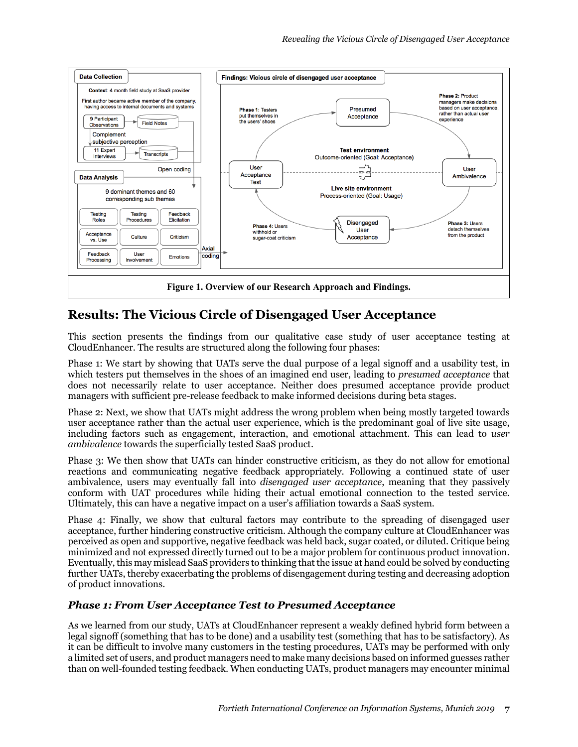

# **Results: The Vicious Circle of Disengaged User Acceptance**

This section presents the findings from our qualitative case study of user acceptance testing at CloudEnhancer. The results are structured along the following four phases:

Phase 1: We start by showing that UATs serve the dual purpose of a legal signoff and a usability test, in which testers put themselves in the shoes of an imagined end user, leading to *presumed acceptance* that does not necessarily relate to user acceptance. Neither does presumed acceptance provide product managers with sufficient pre-release feedback to make informed decisions during beta stages.

Phase 2: Next, we show that UATs might address the wrong problem when being mostly targeted towards user acceptance rather than the actual user experience, which is the predominant goal of live site usage, including factors such as engagement, interaction, and emotional attachment. This can lead to *user ambivalence* towards the superficially tested SaaS product.

Phase 3: We then show that UATs can hinder constructive criticism, as they do not allow for emotional reactions and communicating negative feedback appropriately. Following a continued state of user ambivalence, users may eventually fall into *disengaged user acceptance*, meaning that they passively conform with UAT procedures while hiding their actual emotional connection to the tested service. Ultimately, this can have a negative impact on a user's affiliation towards a SaaS system.

Phase 4: Finally, we show that cultural factors may contribute to the spreading of disengaged user acceptance, further hindering constructive criticism. Although the company culture at CloudEnhancer was perceived as open and supportive, negative feedback was held back, sugar coated, or diluted. Critique being minimized and not expressed directly turned out to be a major problem for continuous product innovation. Eventually, this may mislead SaaS providers to thinking that the issue at hand could be solved by conducting further UATs, thereby exacerbating the problems of disengagement during testing and decreasing adoption of product innovations.

### *Phase 1: From User Acceptance Test to Presumed Acceptance*

As we learned from our study, UATs at CloudEnhancer represent a weakly defined hybrid form between a legal signoff (something that has to be done) and a usability test (something that has to be satisfactory). As it can be difficult to involve many customers in the testing procedures, UATs may be performed with only a limited set of users, and product managers need to make many decisions based on informed guesses rather than on well-founded testing feedback. When conducting UATs, product managers may encounter minimal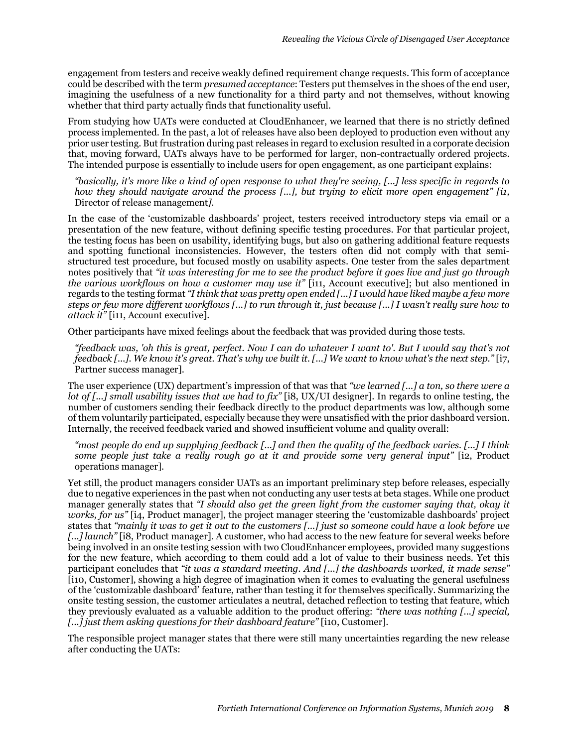engagement from testers and receive weakly defined requirement change requests. This form of acceptance could be described with the term *presumed acceptance*: Testers put themselves in the shoes of the end user, imagining the usefulness of a new functionality for a third party and not themselves, without knowing whether that third party actually finds that functionality useful.

From studying how UATs were conducted at CloudEnhancer, we learned that there is no strictly defined process implemented. In the past, a lot of releases have also been deployed to production even without any prior user testing. But frustration during past releases in regard to exclusion resulted in a corporate decision that, moving forward, UATs always have to be performed for larger, non-contractually ordered projects. The intended purpose is essentially to include users for open engagement, as one participant explains:

*"basically, it's more like a kind of open response to what they're seeing, [...] less specific in regards to how they should navigate around the process [...], but trying to elicit more open engagement" [i1,*  Director of release management*]*.

In the case of the 'customizable dashboards' project, testers received introductory steps via email or a presentation of the new feature, without defining specific testing procedures. For that particular project, the testing focus has been on usability, identifying bugs, but also on gathering additional feature requests and spotting functional inconsistencies. However, the testers often did not comply with that semistructured test procedure, but focused mostly on usability aspects. One tester from the sales department notes positively that *"it was interesting for me to see the product before it goes live and just go through the various workflows on how a customer may use it"* [i11, Account executive]; but also mentioned in regards to the testing format *"I think that was pretty open ended [...] I would have liked maybe a few more steps or few more different workflows [...] to run through it, just because [...] I wasn't really sure how to attack it"* [i11, Account executive].

Other participants have mixed feelings about the feedback that was provided during those tests.

*"feedback was, 'oh this is great, perfect. Now I can do whatever I want to'. But I would say that's not feedback [...]. We know it's great. That's why we built it. [...] We want to know what's the next step."* [i7, Partner success manager].

The user experience (UX) department's impression of that was that *"we learned [...] a ton, so there were a lot of [...] small usability issues that we had to fix"* [i8, UX/UI designer]. In regards to online testing, the number of customers sending their feedback directly to the product departments was low, although some of them voluntarily participated, especially because they were unsatisfied with the prior dashboard version. Internally, the received feedback varied and showed insufficient volume and quality overall:

*"most people do end up supplying feedback [...] and then the quality of the feedback varies. [...] I think some people just take a really rough go at it and provide some very general input"* [i2, Product operations manager].

Yet still, the product managers consider UATs as an important preliminary step before releases, especially due to negative experiences in the past when not conducting any user tests at beta stages. While one product manager generally states that *"I should also get the green light from the customer saying that, okay it works, for us"* [i4, Product manager], the project manager steering the 'customizable dashboards' project states that *"mainly it was to get it out to the customers [...] just so someone could have a look before we [...] launch"* [i8, Product manager]. A customer, who had access to the new feature for several weeks before being involved in an onsite testing session with two CloudEnhancer employees, provided many suggestions for the new feature, which according to them could add a lot of value to their business needs. Yet this participant concludes that *"it was a standard meeting. And [...] the dashboards worked, it made sense"*  [i10, Customer], showing a high degree of imagination when it comes to evaluating the general usefulness of the 'customizable dashboard' feature, rather than testing it for themselves specifically. Summarizing the onsite testing session, the customer articulates a neutral, detached reflection to testing that feature, which they previously evaluated as a valuable addition to the product offering: *"there was nothing [...] special,*  [...] just them asking questions for their dashboard feature" [i10, Customer].

The responsible project manager states that there were still many uncertainties regarding the new release after conducting the UATs: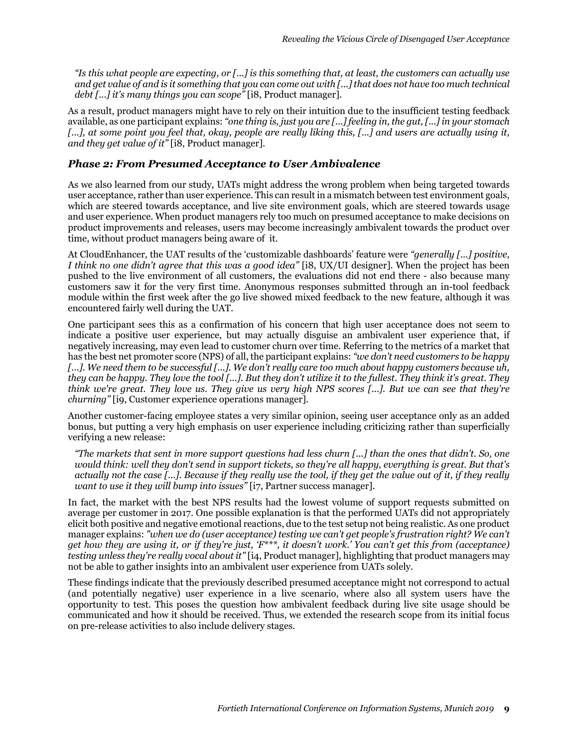*"Is this what people are expecting, or [...] is this something that, at least, the customers can actually use and get value of and is it something that you can come out with [...] that does not have too much technical debt [...] it's many things you can scope"* [i8, Product manager].

As a result, product managers might have to rely on their intuition due to the insufficient testing feedback available, as one participant explains: *"one thing is, just you are [...] feeling in, the gut, [...] in your stomach [...], at some point you feel that, okay, people are really liking this, [...] and users are actually using it, and they get value of it"* [i8, Product manager].

#### *Phase 2: From Presumed Acceptance to User Ambivalence*

As we also learned from our study, UATs might address the wrong problem when being targeted towards user acceptance, rather than user experience. This can result in a mismatch between test environment goals, which are steered towards acceptance, and live site environment goals, which are steered towards usage and user experience. When product managers rely too much on presumed acceptance to make decisions on product improvements and releases, users may become increasingly ambivalent towards the product over time, without product managers being aware of it.

At CloudEnhancer, the UAT results of the 'customizable dashboards' feature were *"generally [...] positive, I think no one didn't agree that this was a good idea"* [i8, UX/UI designer]. When the project has been pushed to the live environment of all customers, the evaluations did not end there - also because many customers saw it for the very first time. Anonymous responses submitted through an in-tool feedback module within the first week after the go live showed mixed feedback to the new feature, although it was encountered fairly well during the UAT.

One participant sees this as a confirmation of his concern that high user acceptance does not seem to indicate a positive user experience, but may actually disguise an ambivalent user experience that, if negatively increasing, may even lead to customer churn over time. Referring to the metrics of a market that has the best net promoter score (NPS) of all, the participant explains: *"we don't need customers to be happy [...]. We need them to be successful [...]. We don't really care too much about happy customers because uh, they can be happy. They love the tool [...]. But they don't utilize it to the fullest. They think it's great. They think we're great. They love us. They give us very high NPS scores [...]. But we can see that they're churning"* [i9, Customer experience operations manager].

Another customer-facing employee states a very similar opinion, seeing user acceptance only as an added bonus, but putting a very high emphasis on user experience including criticizing rather than superficially verifying a new release:

*"The markets that sent in more support questions had less churn [...] than the ones that didn't. So, one would think: well they don't send in support tickets, so they're all happy, everything is great. But that's actually not the case [...]. Because if they really use the tool, if they get the value out of it, if they really want to use it they will bump into issues"* [i7, Partner success manager].

In fact, the market with the best NPS results had the lowest volume of support requests submitted on average per customer in 2017. One possible explanation is that the performed UATs did not appropriately elicit both positive and negative emotional reactions, due to the test setup not being realistic. As one product manager explains: *"when we do (user acceptance) testing we can't get people's frustration right? We can't get how they are using it, or if they're just, 'F\*\*\*, it doesn't work.' You can't get this from (acceptance) testing unless they're really vocal about it"* [i4, Product manager], highlighting that product managers may not be able to gather insights into an ambivalent user experience from UATs solely.

These findings indicate that the previously described presumed acceptance might not correspond to actual (and potentially negative) user experience in a live scenario, where also all system users have the opportunity to test. This poses the question how ambivalent feedback during live site usage should be communicated and how it should be received. Thus, we extended the research scope from its initial focus on pre-release activities to also include delivery stages.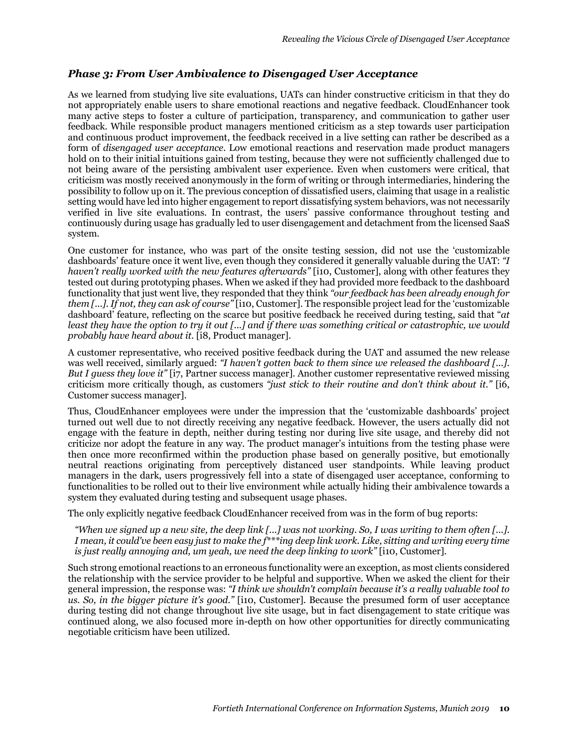#### *Phase 3: From User Ambivalence to Disengaged User Acceptance*

As we learned from studying live site evaluations, UATs can hinder constructive criticism in that they do not appropriately enable users to share emotional reactions and negative feedback. CloudEnhancer took many active steps to foster a culture of participation, transparency, and communication to gather user feedback. While responsible product managers mentioned criticism as a step towards user participation and continuous product improvement, the feedback received in a live setting can rather be described as a form of *disengaged user acceptance*. Low emotional reactions and reservation made product managers hold on to their initial intuitions gained from testing, because they were not sufficiently challenged due to not being aware of the persisting ambivalent user experience. Even when customers were critical, that criticism was mostly received anonymously in the form of writing or through intermediaries, hindering the possibility to follow up on it. The previous conception of dissatisfied users, claiming that usage in a realistic setting would have led into higher engagement to report dissatisfying system behaviors, was not necessarily verified in live site evaluations. In contrast, the users' passive conformance throughout testing and continuously during usage has gradually led to user disengagement and detachment from the licensed SaaS system.

One customer for instance, who was part of the onsite testing session, did not use the 'customizable dashboards' feature once it went live, even though they considered it generally valuable during the UAT: *"I haven't really worked with the new features afterwards"* [i10, Customer], along with other features they tested out during prototyping phases. When we asked if they had provided more feedback to the dashboard functionality that just went live, they responded that they think *"our feedback has been already enough for them [...]. If not, they can ask of course"* [i10, Customer]. The responsible project lead for the 'customizable dashboard' feature, reflecting on the scarce but positive feedback he received during testing, said that "*at least they have the option to try it out [...] and if there was something critical or catastrophic, we would probably have heard about it.* [i8, Product manager].

A customer representative, who received positive feedback during the UAT and assumed the new release was well received, similarly argued: *"I haven't gotten back to them since we released the dashboard [...]. But I guess they love it"* [i7, Partner success manager]. Another customer representative reviewed missing criticism more critically though, as customers *"just stick to their routine and don't think about it."* [i6, Customer success manager].

Thus, CloudEnhancer employees were under the impression that the 'customizable dashboards' project turned out well due to not directly receiving any negative feedback. However, the users actually did not engage with the feature in depth, neither during testing nor during live site usage, and thereby did not criticize nor adopt the feature in any way. The product manager's intuitions from the testing phase were then once more reconfirmed within the production phase based on generally positive, but emotionally neutral reactions originating from perceptively distanced user standpoints. While leaving product managers in the dark, users progressively fell into a state of disengaged user acceptance, conforming to functionalities to be rolled out to their live environment while actually hiding their ambivalence towards a system they evaluated during testing and subsequent usage phases.

The only explicitly negative feedback CloudEnhancer received from was in the form of bug reports:

*"When we signed up a new site, the deep link [...] was not working. So, I was writing to them often [...]. I mean, it could've been easy just to make the f\*\*\*ing deep link work. Like, sitting and writing every time is just really annoying and, um yeah, we need the deep linking to work"* [i10, Customer]*.*

Such strong emotional reactions to an erroneous functionality were an exception, as most clients considered the relationship with the service provider to be helpful and supportive. When we asked the client for their general impression, the response was: *"I think we shouldn't complain because it's a really valuable tool to us. So, in the bigger picture it's good."* [i10, Customer]. Because the presumed form of user acceptance during testing did not change throughout live site usage, but in fact disengagement to state critique was continued along, we also focused more in-depth on how other opportunities for directly communicating negotiable criticism have been utilized.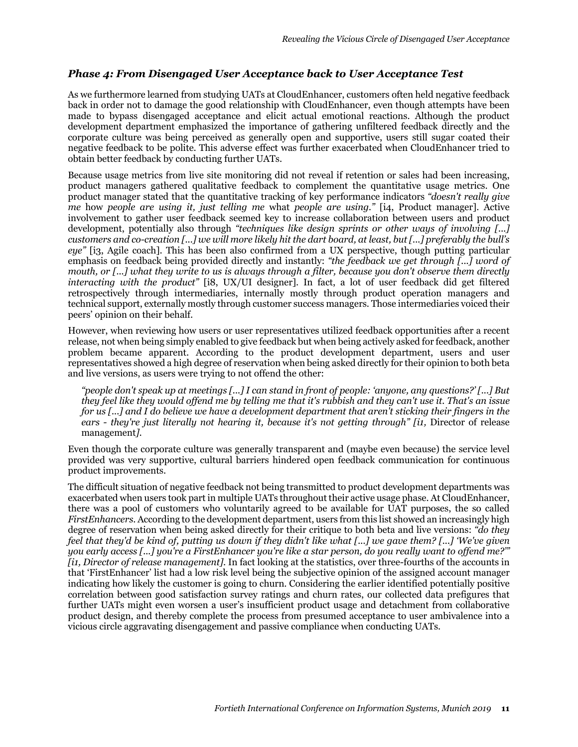#### *Phase 4: From Disengaged User Acceptance back to User Acceptance Test*

As we furthermore learned from studying UATs at CloudEnhancer, customers often held negative feedback back in order not to damage the good relationship with CloudEnhancer, even though attempts have been made to bypass disengaged acceptance and elicit actual emotional reactions. Although the product development department emphasized the importance of gathering unfiltered feedback directly and the corporate culture was being perceived as generally open and supportive, users still sugar coated their negative feedback to be polite. This adverse effect was further exacerbated when CloudEnhancer tried to obtain better feedback by conducting further UATs.

Because usage metrics from live site monitoring did not reveal if retention or sales had been increasing, product managers gathered qualitative feedback to complement the quantitative usage metrics. One product manager stated that the quantitative tracking of key performance indicators *"doesn't really give me* how *people are using it, just telling me* what *people are using."* [i4, Product manager]. Active involvement to gather user feedback seemed key to increase collaboration between users and product development, potentially also through *"techniques like design sprints or other ways of involving [...] customers and co-creation [...] we will more likely hit the dart board, at least, but [...] preferably the bull's eye"* [i3, Agile coach]. This has been also confirmed from a UX perspective, though putting particular emphasis on feedback being provided directly and instantly: *"the feedback we get through [...] word of mouth, or [...] what they write to us is always through a filter, because you don't observe them directly interacting with the product"* [i8, UX/UI designer]. In fact, a lot of user feedback did get filtered retrospectively through intermediaries, internally mostly through product operation managers and technical support, externally mostly through customer success managers. Those intermediaries voiced their peers' opinion on their behalf.

However, when reviewing how users or user representatives utilized feedback opportunities after a recent release, not when being simply enabled to give feedback but when being actively asked for feedback, another problem became apparent. According to the product development department, users and user representatives showed a high degree of reservation when being asked directly for their opinion to both beta and live versions, as users were trying to not offend the other:

*"people don't speak up at meetings [...] I can stand in front of people: 'anyone, any questions?' [...] But they feel like they would offend me by telling me that it's rubbish and they can't use it. That's an issue for us [...] and I do believe we have a development department that aren't sticking their fingers in the ears - they're just literally not hearing it, because it's not getting through" [i1,* Director of release management*]*.

Even though the corporate culture was generally transparent and (maybe even because) the service level provided was very supportive, cultural barriers hindered open feedback communication for continuous product improvements.

The difficult situation of negative feedback not being transmitted to product development departments was exacerbated when users took part in multiple UATs throughout their active usage phase. At CloudEnhancer, there was a pool of customers who voluntarily agreed to be available for UAT purposes, the so called *FirstEnhancers*. According to the development department, users from this list showed an increasingly high degree of reservation when being asked directly for their critique to both beta and live versions: *"do they feel that they'd be kind of, putting us down if they didn't like what [...] we gave them? [...] 'We've given you early access [...] you're a FirstEnhancer you're like a star person, do you really want to offend me?'" [i1, Director of release management]*. In fact looking at the statistics, over three-fourths of the accounts in that 'FirstEnhancer' list had a low risk level being the subjective opinion of the assigned account manager indicating how likely the customer is going to churn. Considering the earlier identified potentially positive correlation between good satisfaction survey ratings and churn rates, our collected data prefigures that further UATs might even worsen a user's insufficient product usage and detachment from collaborative product design, and thereby complete the process from presumed acceptance to user ambivalence into a vicious circle aggravating disengagement and passive compliance when conducting UATs.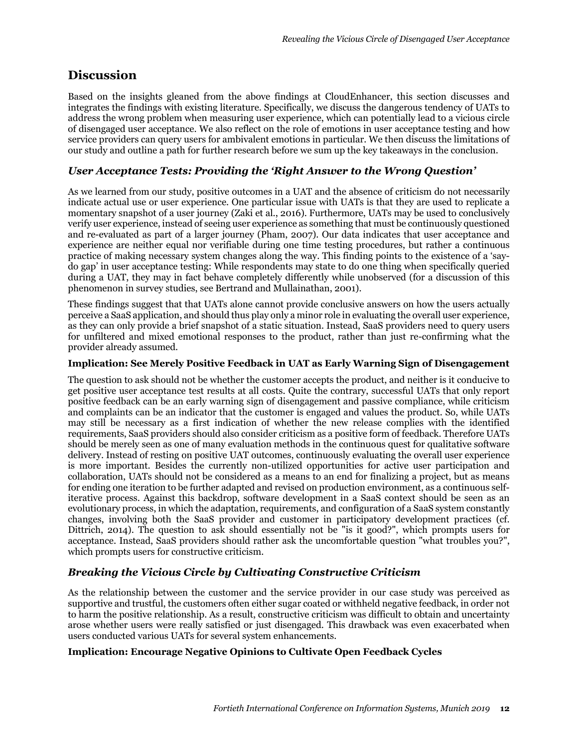## **Discussion**

Based on the insights gleaned from the above findings at CloudEnhancer, this section discusses and integrates the findings with existing literature. Specifically, we discuss the dangerous tendency of UATs to address the wrong problem when measuring user experience, which can potentially lead to a vicious circle of disengaged user acceptance. We also reflect on the role of emotions in user acceptance testing and how service providers can query users for ambivalent emotions in particular. We then discuss the limitations of our study and outline a path for further research before we sum up the key takeaways in the conclusion.

### *User Acceptance Tests: Providing the 'Right Answer to the Wrong Question'*

As we learned from our study, positive outcomes in a UAT and the absence of criticism do not necessarily indicate actual use or user experience. One particular issue with UATs is that they are used to replicate a momentary snapshot of a user journey (Zaki et al., 2016). Furthermore, UATs may be used to conclusively verify user experience, instead of seeing user experience as something that must be continuously questioned and re-evaluated as part of a larger journey (Pham, 2007). Our data indicates that user acceptance and experience are neither equal nor verifiable during one time testing procedures, but rather a continuous practice of making necessary system changes along the way. This finding points to the existence of a 'saydo gap' in user acceptance testing: While respondents may state to do one thing when specifically queried during a UAT, they may in fact behave completely differently while unobserved (for a discussion of this phenomenon in survey studies, see Bertrand and Mullainathan, 2001).

These findings suggest that that UATs alone cannot provide conclusive answers on how the users actually perceive a SaaS application, and should thus play only a minor role in evaluating the overall user experience, as they can only provide a brief snapshot of a static situation. Instead, SaaS providers need to query users for unfiltered and mixed emotional responses to the product, rather than just re-confirming what the provider already assumed.

#### **Implication: See Merely Positive Feedback in UAT as Early Warning Sign of Disengagement**

The question to ask should not be whether the customer accepts the product, and neither is it conducive to get positive user acceptance test results at all costs. Quite the contrary, successful UATs that only report positive feedback can be an early warning sign of disengagement and passive compliance, while criticism and complaints can be an indicator that the customer is engaged and values the product. So, while UATs may still be necessary as a first indication of whether the new release complies with the identified requirements, SaaS providers should also consider criticism as a positive form of feedback. Therefore UATs should be merely seen as one of many evaluation methods in the continuous quest for qualitative software delivery. Instead of resting on positive UAT outcomes, continuously evaluating the overall user experience is more important. Besides the currently non-utilized opportunities for active user participation and collaboration, UATs should not be considered as a means to an end for finalizing a project, but as means for ending one iteration to be further adapted and revised on production environment, as a continuous selfiterative process. Against this backdrop, software development in a SaaS context should be seen as an evolutionary process, in which the adaptation, requirements, and configuration of a SaaS system constantly changes, involving both the SaaS provider and customer in participatory development practices (cf. Dittrich, 2014). The question to ask should essentially not be "is it good?", which prompts users for acceptance. Instead, SaaS providers should rather ask the uncomfortable question "what troubles you?", which prompts users for constructive criticism.

#### *Breaking the Vicious Circle by Cultivating Constructive Criticism*

As the relationship between the customer and the service provider in our case study was perceived as supportive and trustful, the customers often either sugar coated or withheld negative feedback, in order not to harm the positive relationship. As a result, constructive criticism was difficult to obtain and uncertainty arose whether users were really satisfied or just disengaged. This drawback was even exacerbated when users conducted various UATs for several system enhancements.

#### **Implication: Encourage Negative Opinions to Cultivate Open Feedback Cycles**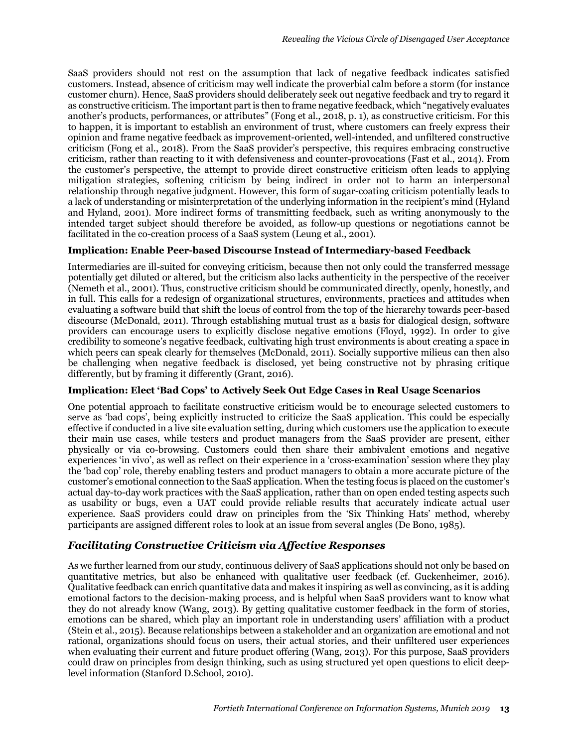SaaS providers should not rest on the assumption that lack of negative feedback indicates satisfied customers. Instead, absence of criticism may well indicate the proverbial calm before a storm (for instance customer churn). Hence, SaaS providers should deliberately seek out negative feedback and try to regard it as constructive criticism. The important part is then to frame negative feedback, which "negatively evaluates another's products, performances, or attributes" (Fong et al., 2018, p. 1), as constructive criticism. For this to happen, it is important to establish an environment of trust, where customers can freely express their opinion and frame negative feedback as improvement-oriented, well-intended, and unfiltered constructive criticism (Fong et al., 2018). From the SaaS provider's perspective, this requires embracing constructive criticism, rather than reacting to it with defensiveness and counter-provocations (Fast et al., 2014). From the customer's perspective, the attempt to provide direct constructive criticism often leads to applying mitigation strategies, softening criticism by being indirect in order not to harm an interpersonal relationship through negative judgment. However, this form of sugar-coating criticism potentially leads to a lack of understanding or misinterpretation of the underlying information in the recipient's mind (Hyland and Hyland, 2001). More indirect forms of transmitting feedback, such as writing anonymously to the intended target subject should therefore be avoided, as follow-up questions or negotiations cannot be facilitated in the co-creation process of a SaaS system (Leung et al., 2001).

#### **Implication: Enable Peer-based Discourse Instead of Intermediary-based Feedback**

Intermediaries are ill-suited for conveying criticism, because then not only could the transferred message potentially get diluted or altered, but the criticism also lacks authenticity in the perspective of the receiver (Nemeth et al., 2001). Thus, constructive criticism should be communicated directly, openly, honestly, and in full. This calls for a redesign of organizational structures, environments, practices and attitudes when evaluating a software build that shift the locus of control from the top of the hierarchy towards peer-based discourse (McDonald, 2011). Through establishing mutual trust as a basis for dialogical design, software providers can encourage users to explicitly disclose negative emotions (Floyd, 1992). In order to give credibility to someone's negative feedback, cultivating high trust environments is about creating a space in which peers can speak clearly for themselves (McDonald, 2011). Socially supportive milieus can then also be challenging when negative feedback is disclosed, yet being constructive not by phrasing critique differently, but by framing it differently (Grant, 2016).

#### **Implication: Elect 'Bad Cops' to Actively Seek Out Edge Cases in Real Usage Scenarios**

One potential approach to facilitate constructive criticism would be to encourage selected customers to serve as 'bad cops', being explicitly instructed to criticize the SaaS application. This could be especially effective if conducted in a live site evaluation setting, during which customers use the application to execute their main use cases, while testers and product managers from the SaaS provider are present, either physically or via co-browsing. Customers could then share their ambivalent emotions and negative experiences 'in vivo', as well as reflect on their experience in a 'cross-examination' session where they play the 'bad cop' role, thereby enabling testers and product managers to obtain a more accurate picture of the customer's emotional connection to the SaaS application. When the testing focus is placed on the customer's actual day-to-day work practices with the SaaS application, rather than on open ended testing aspects such as usability or bugs, even a UAT could provide reliable results that accurately indicate actual user experience. SaaS providers could draw on principles from the 'Six Thinking Hats' method, whereby participants are assigned different roles to look at an issue from several angles (De Bono, 1985).

### *Facilitating Constructive Criticism via Affective Responses*

As we further learned from our study, continuous delivery of SaaS applications should not only be based on quantitative metrics, but also be enhanced with qualitative user feedback (cf. Guckenheimer, 2016). Qualitative feedback can enrich quantitative data and makes it inspiring as well as convincing, as it is adding emotional factors to the decision-making process, and is helpful when SaaS providers want to know what they do not already know (Wang, 2013). By getting qualitative customer feedback in the form of stories, emotions can be shared, which play an important role in understanding users' affiliation with a product (Stein et al., 2015). Because relationships between a stakeholder and an organization are emotional and not rational, organizations should focus on users, their actual stories, and their unfiltered user experiences when evaluating their current and future product offering (Wang, 2013). For this purpose, SaaS providers could draw on principles from design thinking, such as using structured yet open questions to elicit deeplevel information (Stanford D.School, 2010).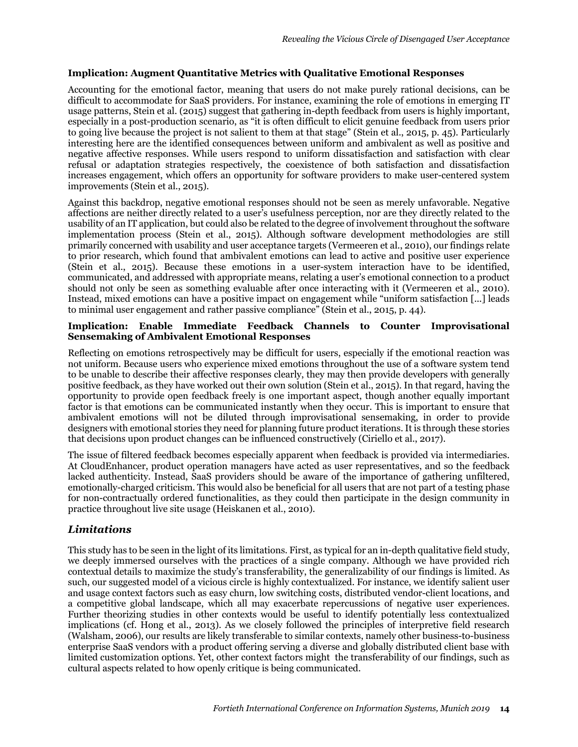#### **Implication: Augment Quantitative Metrics with Qualitative Emotional Responses**

Accounting for the emotional factor, meaning that users do not make purely rational decisions, can be difficult to accommodate for SaaS providers. For instance, examining the role of emotions in emerging IT usage patterns, Stein et al. (2015) suggest that gathering in-depth feedback from users is highly important, especially in a post-production scenario, as "it is often difficult to elicit genuine feedback from users prior to going live because the project is not salient to them at that stage" (Stein et al., 2015, p. 45). Particularly interesting here are the identified consequences between uniform and ambivalent as well as positive and negative affective responses. While users respond to uniform dissatisfaction and satisfaction with clear refusal or adaptation strategies respectively, the coexistence of both satisfaction and dissatisfaction increases engagement, which offers an opportunity for software providers to make user-centered system improvements (Stein et al., 2015).

Against this backdrop, negative emotional responses should not be seen as merely unfavorable. Negative affections are neither directly related to a user's usefulness perception, nor are they directly related to the usability of an IT application, but could also be related to the degree of involvement throughout the software implementation process (Stein et al., 2015). Although software development methodologies are still primarily concerned with usability and user acceptance targets (Vermeeren et al., 2010), our findings relate to prior research, which found that ambivalent emotions can lead to active and positive user experience (Stein et al., 2015). Because these emotions in a user-system interaction have to be identified, communicated, and addressed with appropriate means, relating a user's emotional connection to a product should not only be seen as something evaluable after once interacting with it (Vermeeren et al., 2010). Instead, mixed emotions can have a positive impact on engagement while "uniform satisfaction [...] leads to minimal user engagement and rather passive compliance" (Stein et al., 2015, p. 44).

#### **Implication: Enable Immediate Feedback Channels to Counter Improvisational Sensemaking of Ambivalent Emotional Responses**

Reflecting on emotions retrospectively may be difficult for users, especially if the emotional reaction was not uniform. Because users who experience mixed emotions throughout the use of a software system tend to be unable to describe their affective responses clearly, they may then provide developers with generally positive feedback, as they have worked out their own solution (Stein et al., 2015). In that regard, having the opportunity to provide open feedback freely is one important aspect, though another equally important factor is that emotions can be communicated instantly when they occur. This is important to ensure that ambivalent emotions will not be diluted through improvisational sensemaking, in order to provide designers with emotional stories they need for planning future product iterations. It is through these stories that decisions upon product changes can be influenced constructively (Ciriello et al., 2017).

The issue of filtered feedback becomes especially apparent when feedback is provided via intermediaries. At CloudEnhancer, product operation managers have acted as user representatives, and so the feedback lacked authenticity. Instead, SaaS providers should be aware of the importance of gathering unfiltered, emotionally-charged criticism. This would also be beneficial for all users that are not part of a testing phase for non-contractually ordered functionalities, as they could then participate in the design community in practice throughout live site usage (Heiskanen et al., 2010).

### *Limitations*

This study has to be seen in the light of its limitations. First, as typical for an in-depth qualitative field study, we deeply immersed ourselves with the practices of a single company. Although we have provided rich contextual details to maximize the study's transferability, the generalizability of our findings is limited. As such, our suggested model of a vicious circle is highly contextualized. For instance, we identify salient user and usage context factors such as easy churn, low switching costs, distributed vendor-client locations, and a competitive global landscape, which all may exacerbate repercussions of negative user experiences. Further theorizing studies in other contexts would be useful to identify potentially less contextualized implications (cf. Hong et al., 2013). As we closely followed the principles of interpretive field research (Walsham, 2006), our results are likely transferable to similar contexts, namely other business-to-business enterprise SaaS vendors with a product offering serving a diverse and globally distributed client base with limited customization options. Yet, other context factors might the transferability of our findings, such as cultural aspects related to how openly critique is being communicated.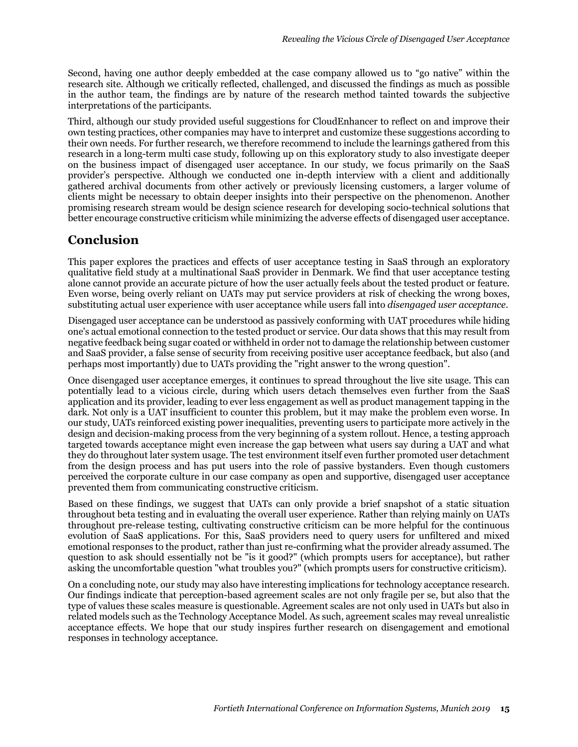Second, having one author deeply embedded at the case company allowed us to "go native" within the research site. Although we critically reflected, challenged, and discussed the findings as much as possible in the author team, the findings are by nature of the research method tainted towards the subjective interpretations of the participants.

Third, although our study provided useful suggestions for CloudEnhancer to reflect on and improve their own testing practices, other companies may have to interpret and customize these suggestions according to their own needs. For further research, we therefore recommend to include the learnings gathered from this research in a long-term multi case study, following up on this exploratory study to also investigate deeper on the business impact of disengaged user acceptance. In our study, we focus primarily on the SaaS provider's perspective. Although we conducted one in-depth interview with a client and additionally gathered archival documents from other actively or previously licensing customers, a larger volume of clients might be necessary to obtain deeper insights into their perspective on the phenomenon. Another promising research stream would be design science research for developing socio-technical solutions that better encourage constructive criticism while minimizing the adverse effects of disengaged user acceptance.

# **Conclusion**

This paper explores the practices and effects of user acceptance testing in SaaS through an exploratory qualitative field study at a multinational SaaS provider in Denmark. We find that user acceptance testing alone cannot provide an accurate picture of how the user actually feels about the tested product or feature. Even worse, being overly reliant on UATs may put service providers at risk of checking the wrong boxes, substituting actual user experience with user acceptance while users fall into *disengaged user acceptance*.

Disengaged user acceptance can be understood as passively conforming with UAT procedures while hiding one's actual emotional connection to the tested product or service. Our data shows that this may result from negative feedback being sugar coated or withheld in order not to damage the relationship between customer and SaaS provider, a false sense of security from receiving positive user acceptance feedback, but also (and perhaps most importantly) due to UATs providing the "right answer to the wrong question".

Once disengaged user acceptance emerges, it continues to spread throughout the live site usage. This can potentially lead to a vicious circle, during which users detach themselves even further from the SaaS application and its provider, leading to ever less engagement as well as product management tapping in the dark. Not only is a UAT insufficient to counter this problem, but it may make the problem even worse. In our study, UATs reinforced existing power inequalities, preventing users to participate more actively in the design and decision-making process from the very beginning of a system rollout. Hence, a testing approach targeted towards acceptance might even increase the gap between what users say during a UAT and what they do throughout later system usage. The test environment itself even further promoted user detachment from the design process and has put users into the role of passive bystanders. Even though customers perceived the corporate culture in our case company as open and supportive, disengaged user acceptance prevented them from communicating constructive criticism.

Based on these findings, we suggest that UATs can only provide a brief snapshot of a static situation throughout beta testing and in evaluating the overall user experience. Rather than relying mainly on UATs throughout pre-release testing, cultivating constructive criticism can be more helpful for the continuous evolution of SaaS applications. For this, SaaS providers need to query users for unfiltered and mixed emotional responses to the product, rather than just re-confirming what the provider already assumed. The question to ask should essentially not be "is it good?" (which prompts users for acceptance), but rather asking the uncomfortable question "what troubles you?" (which prompts users for constructive criticism).

On a concluding note, our study may also have interesting implications for technology acceptance research. Our findings indicate that perception-based agreement scales are not only fragile per se, but also that the type of values these scales measure is questionable. Agreement scales are not only used in UATs but also in related models such as the Technology Acceptance Model. As such, agreement scales may reveal unrealistic acceptance effects. We hope that our study inspires further research on disengagement and emotional responses in technology acceptance.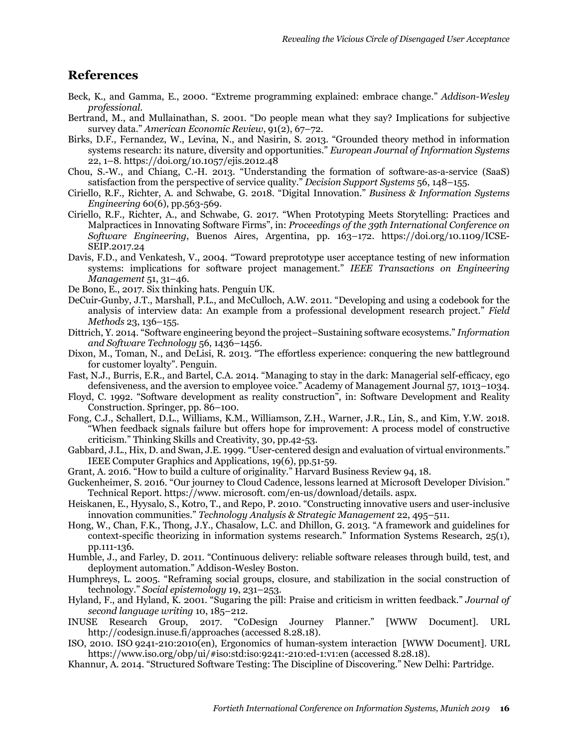### **References**

- Beck, K., and Gamma, E., 2000. "Extreme programming explained: embrace change." *Addison-Wesley professional.*
- Bertrand, M., and Mullainathan, S. 2001. "Do people mean what they say? Implications for subjective survey data." *American Economic Review*, 91(2), 67–72.
- Birks, D.F., Fernandez, W., Levina, N., and Nasirin, S. 2013. "Grounded theory method in information systems research: its nature, diversity and opportunities." *European Journal of Information Systems* 22, 1–8. https://doi.org/10.1057/ejis.2012.48
- Chou, S.-W., and Chiang, C.-H. 2013. "Understanding the formation of software-as-a-service (SaaS) satisfaction from the perspective of service quality." *Decision Support Systems* 56, 148–155.
- Ciriello, R.F., Richter, A. and Schwabe, G. 2018. "Digital Innovation." *Business & Information Systems Engineering* 60(6), pp.563-569.
- Ciriello, R.F., Richter, A., and Schwabe, G. 2017. "When Prototyping Meets Storytelling: Practices and Malpractices in Innovating Software Firms", in: *Proceedings of the 39th International Conference on Software Engineering*, Buenos Aires, Argentina, pp. 163–172. https://doi.org/10.1109/ICSE-SEIP.2017.24
- Davis, F.D., and Venkatesh, V., 2004. "Toward preprototype user acceptance testing of new information systems: implications for software project management." *IEEE Transactions on Engineering Management* 51, 31–46.
- De Bono, E., 2017. Six thinking hats. Penguin UK.
- DeCuir-Gunby, J.T., Marshall, P.L., and McCulloch, A.W. 2011. "Developing and using a codebook for the analysis of interview data: An example from a professional development research project." *Field Methods* 23, 136–155.
- Dittrich, Y. 2014. "Software engineering beyond the project–Sustaining software ecosystems." *Information and Software Technology* 56, 1436–1456.
- Dixon, M., Toman, N., and DeLisi, R. 2013. "The effortless experience: conquering the new battleground for customer loyalty". Penguin.
- Fast, N.J., Burris, E.R., and Bartel, C.A. 2014. "Managing to stay in the dark: Managerial self-efficacy, ego defensiveness, and the aversion to employee voice." Academy of Management Journal 57, 1013–1034.
- Floyd, C. 1992. "Software development as reality construction", in: Software Development and Reality Construction. Springer, pp. 86–100.
- Fong, C.J., Schallert, D.L., Williams, K.M., Williamson, Z.H., Warner, J.R., Lin, S., and Kim, Y.W. 2018. "When feedback signals failure but offers hope for improvement: A process model of constructive criticism." Thinking Skills and Creativity, 30, pp.42-53.
- Gabbard, J.L., Hix, D. and Swan, J.E. 1999. "User-centered design and evaluation of virtual environments." IEEE Computer Graphics and Applications, 19(6), pp.51-59.
- Grant, A. 2016. "How to build a culture of originality." Harvard Business Review 94, 18.
- Guckenheimer, S. 2016. "Our journey to Cloud Cadence, lessons learned at Microsoft Developer Division." Technical Report. https://www. microsoft. com/en-us/download/details. aspx.
- Heiskanen, E., Hyysalo, S., Kotro, T., and Repo, P. 2010. "Constructing innovative users and user-inclusive innovation communities." *Technology Analysis & Strategic Management* 22, 495–511.
- Hong, W., Chan, F.K., Thong, J.Y., Chasalow, L.C. and Dhillon, G. 2013. "A framework and guidelines for context-specific theorizing in information systems research." Information Systems Research, 25(1), pp.111-136.
- Humble, J., and Farley, D. 2011. "Continuous delivery: reliable software releases through build, test, and deployment automation." Addison-Wesley Boston.
- Humphreys, L. 2005. "Reframing social groups, closure, and stabilization in the social construction of technology." *Social epistemology* 19, 231–253.
- Hyland, F., and Hyland, K. 2001. "Sugaring the pill: Praise and criticism in written feedback." *Journal of second language writing* 10, 185–212.
- INUSE Research Group, 2017. "CoDesign Journey Planner." [WWW Document]. URL http://codesign.inuse.fi/approaches (accessed 8.28.18).
- ISO, 2010. ISO 9241-210:2010(en), Ergonomics of human-system interaction [WWW Document]. URL https://www.iso.org/obp/ui/#iso:std:iso:9241:-210:ed-1:v1:en (accessed 8.28.18).
- Khannur, A. 2014. "Structured Software Testing: The Discipline of Discovering." New Delhi: Partridge.